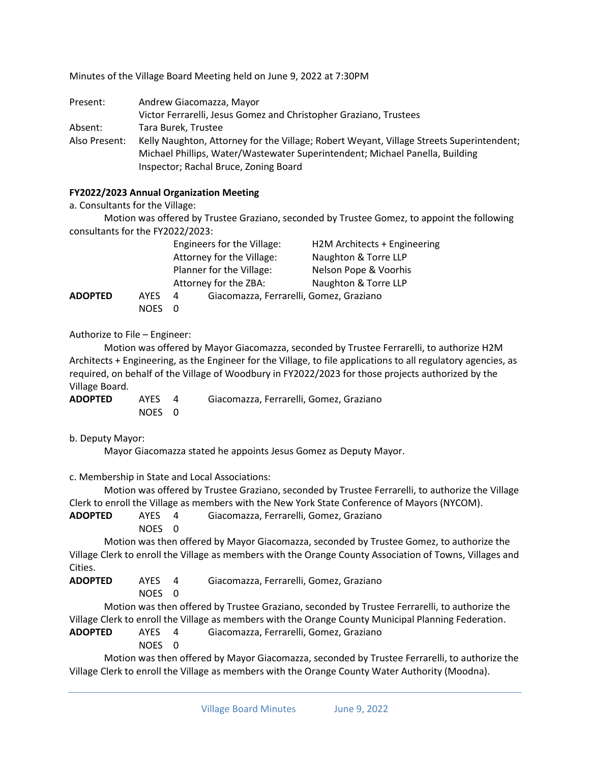Minutes of the Village Board Meeting held on June 9, 2022 at 7:30PM

| Present:      | Andrew Giacomazza, Mayor                                                                 |  |  |  |  |
|---------------|------------------------------------------------------------------------------------------|--|--|--|--|
|               | Victor Ferrarelli, Jesus Gomez and Christopher Graziano, Trustees                        |  |  |  |  |
| Absent:       | Tara Burek, Trustee                                                                      |  |  |  |  |
| Also Present: | Kelly Naughton, Attorney for the Village; Robert Weyant, Village Streets Superintendent; |  |  |  |  |
|               | Michael Phillips, Water/Wastewater Superintendent; Michael Panella, Building             |  |  |  |  |
|               | Inspector; Rachal Bruce, Zoning Board                                                    |  |  |  |  |

## **FY2022/2023 Annual Organization Meeting**

a. Consultants for the Village:

Motion was offered by Trustee Graziano, seconded by Trustee Gomez, to appoint the following consultants for the FY2022/2023:

|                |             | Engineers for the Village:                   | H2M Architects + Engineering |
|----------------|-------------|----------------------------------------------|------------------------------|
|                |             | Attorney for the Village:                    | Naughton & Torre LLP         |
|                |             | Planner for the Village:                     | Nelson Pope & Voorhis        |
|                |             | Attorney for the ZBA:                        | Naughton & Torre LLP         |
| <b>ADOPTED</b> | <b>AYES</b> | Giacomazza, Ferrarelli, Gomez, Graziano<br>4 |                              |
|                | <b>NOES</b> |                                              |                              |

Authorize to File – Engineer:

Motion was offered by Mayor Giacomazza, seconded by Trustee Ferrarelli, to authorize H2M Architects + Engineering, as the Engineer for the Village, to file applications to all regulatory agencies, as required, on behalf of the Village of Woodbury in FY2022/2023 for those projects authorized by the Village Board.

| <b>ADOPTED</b> | AYES   | Giacomazza, Ferrarelli, Gomez, Graziano |
|----------------|--------|-----------------------------------------|
|                | NOES 0 |                                         |

b. Deputy Mayor:

Mayor Giacomazza stated he appoints Jesus Gomez as Deputy Mayor.

c. Membership in State and Local Associations:

Motion was offered by Trustee Graziano, seconded by Trustee Ferrarelli, to authorize the Village Clerk to enroll the Village as members with the New York State Conference of Mayors (NYCOM).

**ADOPTED** AYES 4 Giacomazza, Ferrarelli, Gomez, Graziano

NOES 0

Motion was then offered by Mayor Giacomazza, seconded by Trustee Gomez, to authorize the Village Clerk to enroll the Village as members with the Orange County Association of Towns, Villages and Cities.

**ADOPTED** AYES 4 Giacomazza, Ferrarelli, Gomez, Graziano

NOES 0

Motion was then offered by Trustee Graziano, seconded by Trustee Ferrarelli, to authorize the Village Clerk to enroll the Village as members with the Orange County Municipal Planning Federation.

**ADOPTED** AYES 4 Giacomazza, Ferrarelli, Gomez, Graziano

NOES 0

Motion was then offered by Mayor Giacomazza, seconded by Trustee Ferrarelli, to authorize the Village Clerk to enroll the Village as members with the Orange County Water Authority (Moodna).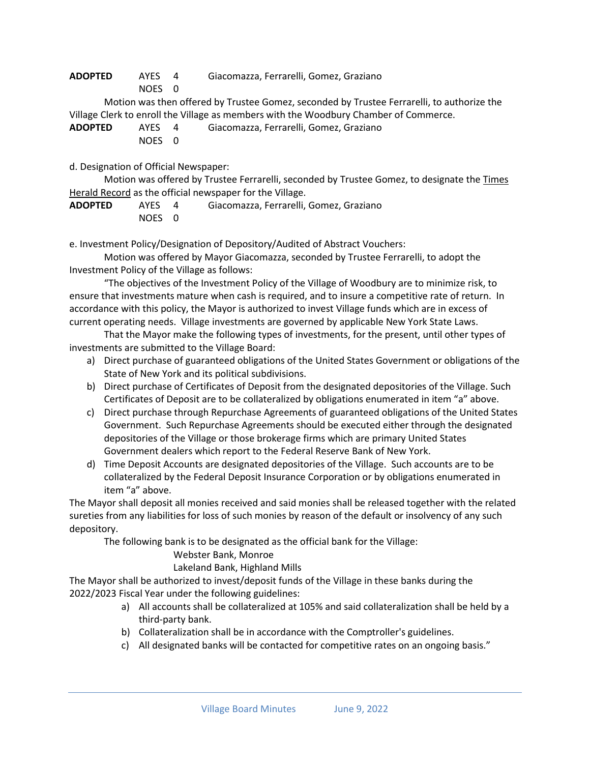**ADOPTED** AYES 4 Giacomazza, Ferrarelli, Gomez, Graziano

NOES 0

Motion was then offered by Trustee Gomez, seconded by Trustee Ferrarelli, to authorize the Village Clerk to enroll the Village as members with the Woodbury Chamber of Commerce.

| <b>ADOPTED</b> | AYES   | Giacomazza, Ferrarelli, Gomez, Graziano |
|----------------|--------|-----------------------------------------|
|                | NOES 0 |                                         |

d. Designation of Official Newspaper:

Motion was offered by Trustee Ferrarelli, seconded by Trustee Gomez, to designate the Times Herald Record as the official newspaper for the Village.

| <b>ADOPTED</b> | AYES 4 | Giacomazza, Ferrarelli, Gomez, Graziano |
|----------------|--------|-----------------------------------------|
|                | NOES 0 |                                         |

e. Investment Policy/Designation of Depository/Audited of Abstract Vouchers:

Motion was offered by Mayor Giacomazza, seconded by Trustee Ferrarelli, to adopt the Investment Policy of the Village as follows:

"The objectives of the Investment Policy of the Village of Woodbury are to minimize risk, to ensure that investments mature when cash is required, and to insure a competitive rate of return. In accordance with this policy, the Mayor is authorized to invest Village funds which are in excess of current operating needs. Village investments are governed by applicable New York State Laws.

That the Mayor make the following types of investments, for the present, until other types of investments are submitted to the Village Board:

- a) Direct purchase of guaranteed obligations of the United States Government or obligations of the State of New York and its political subdivisions.
- b) Direct purchase of Certificates of Deposit from the designated depositories of the Village. Such Certificates of Deposit are to be collateralized by obligations enumerated in item "a" above.
- c) Direct purchase through Repurchase Agreements of guaranteed obligations of the United States Government. Such Repurchase Agreements should be executed either through the designated depositories of the Village or those brokerage firms which are primary United States Government dealers which report to the Federal Reserve Bank of New York.
- d) Time Deposit Accounts are designated depositories of the Village. Such accounts are to be collateralized by the Federal Deposit Insurance Corporation or by obligations enumerated in item "a" above.

The Mayor shall deposit all monies received and said monies shall be released together with the related sureties from any liabilities for loss of such monies by reason of the default or insolvency of any such depository.

The following bank is to be designated as the official bank for the Village:

## Webster Bank, Monroe

## Lakeland Bank, Highland Mills

The Mayor shall be authorized to invest/deposit funds of the Village in these banks during the 2022/2023 Fiscal Year under the following guidelines:

- a) All accounts shall be collateralized at 105% and said collateralization shall be held by a third-party bank.
- b) Collateralization shall be in accordance with the Comptroller's guidelines.
- c) All designated banks will be contacted for competitive rates on an ongoing basis."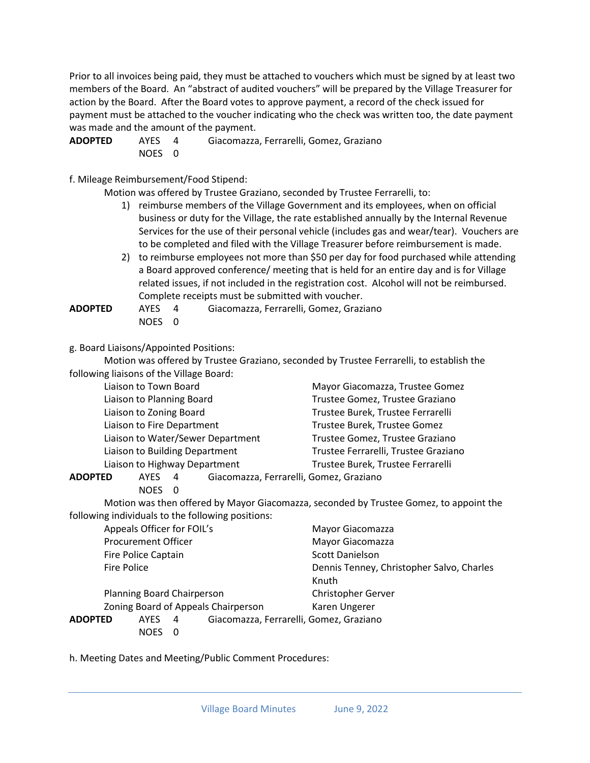Prior to all invoices being paid, they must be attached to vouchers which must be signed by at least two members of the Board. An "abstract of audited vouchers" will be prepared by the Village Treasurer for action by the Board. After the Board votes to approve payment, a record of the check issued for payment must be attached to the voucher indicating who the check was written too, the date payment was made and the amount of the payment.

**ADOPTED** AYES 4 Giacomazza, Ferrarelli, Gomez, Graziano NOES 0

f. Mileage Reimbursement/Food Stipend:

Motion was offered by Trustee Graziano, seconded by Trustee Ferrarelli, to:

- 1) reimburse members of the Village Government and its employees, when on official business or duty for the Village, the rate established annually by the Internal Revenue Services for the use of their personal vehicle (includes gas and wear/tear). Vouchers are to be completed and filed with the Village Treasurer before reimbursement is made.
- 2) to reimburse employees not more than \$50 per day for food purchased while attending a Board approved conference/ meeting that is held for an entire day and is for Village related issues, if not included in the registration cost. Alcohol will not be reimbursed. Complete receipts must be submitted with voucher.

**ADOPTED** AYES 4 Giacomazza, Ferrarelli, Gomez, Graziano NOES 0

g. Board Liaisons/Appointed Positions:

Motion was offered by Trustee Graziano, seconded by Trustee Ferrarelli, to establish the following liaisons of the Village Board:

| Liaison to Town Board             | Mayor Giacomazza, Trustee Gomez      |
|-----------------------------------|--------------------------------------|
| Liaison to Planning Board         | Trustee Gomez, Trustee Graziano      |
| Liaison to Zoning Board           | Trustee Burek, Trustee Ferrarelli    |
| Liaison to Fire Department        | Trustee Burek, Trustee Gomez         |
| Liaison to Water/Sewer Department | Trustee Gomez, Trustee Graziano      |
| Liaison to Building Department    | Trustee Ferrarelli, Trustee Graziano |
| Liaison to Highway Department     | Trustee Burek, Trustee Ferrarelli    |
|                                   |                                      |

**ADOPTED** AYES 4 Giacomazza, Ferrarelli, Gomez, Graziano

NOES 0

Motion was then offered by Mayor Giacomazza, seconded by Trustee Gomez, to appoint the following individuals to the following positions:

| Appeals Officer for FOIL's               |                                         | Mayor Giacomazza                          |
|------------------------------------------|-----------------------------------------|-------------------------------------------|
| <b>Procurement Officer</b>               |                                         | Mayor Giacomazza                          |
| Fire Police Captain                      |                                         | <b>Scott Danielson</b>                    |
| Fire Police                              |                                         | Dennis Tenney, Christopher Salvo, Charles |
|                                          |                                         | Knuth                                     |
| Planning Board Chairperson               |                                         | <b>Christopher Gerver</b>                 |
|                                          | Zoning Board of Appeals Chairperson     | Karen Ungerer                             |
| ADOPTED<br><b>AYES</b><br>$\overline{4}$ | Giacomazza, Ferrarelli, Gomez, Graziano |                                           |
| <b>NOFS</b><br>- 0                       |                                         |                                           |

h. Meeting Dates and Meeting/Public Comment Procedures: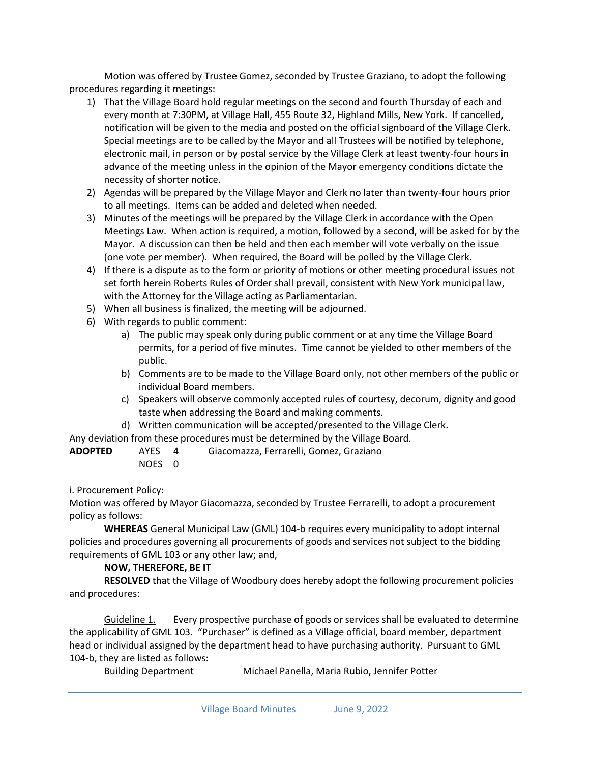Motion was offered by Trustee Gomez, seconded by Trustee Graziano, to adopt the following procedures regarding it meetings:

- 1) That the Village Board hold regular meetings on the second and fourth Thursday of each and every month at 7:30PM, at Village Hall, 455 Route 32, Highland Mills, New York. If cancelled, notification will be given to the media and posted on the official signboard of the Village Clerk. Special meetings are to be called by the Mayor and all Trustees will be notified by telephone, electronic mail, in person or by postal service by the Village Clerk at least twenty-four hours in advance of the meeting unless in the opinion of the Mayor emergency conditions dictate the necessity of shorter notice.
- 2) Agendas will be prepared by the Village Mayor and Clerk no later than twenty-four hours prior to all meetings. Items can be added and deleted when needed.
- 3) Minutes of the meetings will be prepared by the Village Clerk in accordance with the Open Meetings Law. When action is required, a motion, followed by a second, will be asked for by the Mayor. A discussion can then be held and then each member will vote verbally on the issue (one vote per member). When required, the Board will be polled by the Village Clerk.
- 4) If there is a dispute as to the form or priority of motions or other meeting procedural issues not set forth herein Roberts Rules of Order shall prevail, consistent with New York municipal law, with the Attorney for the Village acting as Parliamentarian.
- 5) When all business is finalized, the meeting will be adjourned.
- 6) With regards to public comment:
	- a) The public may speak only during public comment or at any time the Village Board permits, for a period of five minutes. Time cannot be yielded to other members of the public.
	- b) Comments are to be made to the Village Board only, not other members of the public or individual Board members.
	- c) Speakers will observe commonly accepted rules of courtesy, decorum, dignity and good taste when addressing the Board and making comments.
	- d) Written communication will be accepted/presented to the Village Clerk.

Any deviation from these procedures must be determined by the Village Board.

| ADOPTED | AYES 4 | Giacomazza, Ferrarelli, Gomez, Graziano |
|---------|--------|-----------------------------------------|
|         | NOES 0 |                                         |

i. Procurement Policy:

Motion was offered by Mayor Giacomazza, seconded by Trustee Ferrarelli, to adopt a procurement policy as follows:

**WHEREAS** General Municipal Law (GML) 104-b requires every municipality to adopt internal policies and procedures governing all procurements of goods and services not subject to the bidding requirements of GML 103 or any other law; and,

## **NOW, THEREFORE, BE IT**

**RESOLVED** that the Village of Woodbury does hereby adopt the following procurement policies and procedures:

Guideline 1. Every prospective purchase of goods or services shall be evaluated to determine the applicability of GML 103. "Purchaser" is defined as a Village official, board member, department head or individual assigned by the department head to have purchasing authority. Pursuant to GML 104-b, they are listed as follows:

```
Building Department Michael Panella, Maria Rubio, Jennifer Potter
```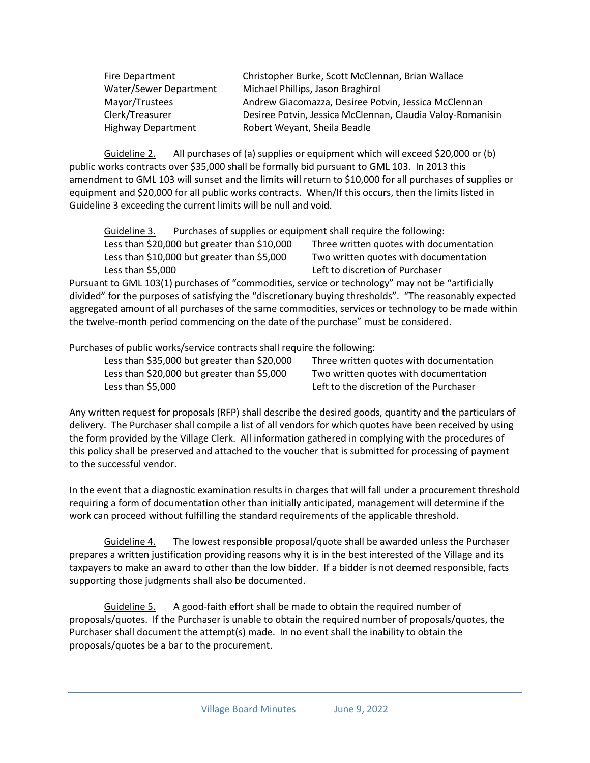| Fire Department           | Christopher Burke, Scott McClennan, Brian Wallace          |
|---------------------------|------------------------------------------------------------|
| Water/Sewer Department    | Michael Phillips, Jason Braghirol                          |
| Mayor/Trustees            | Andrew Giacomazza, Desiree Potvin, Jessica McClennan       |
| Clerk/Treasurer           | Desiree Potvin, Jessica McClennan, Claudia Valoy-Romanisin |
| <b>Highway Department</b> | Robert Weyant, Sheila Beadle                               |

Guideline 2. All purchases of (a) supplies or equipment which will exceed \$20,000 or (b) public works contracts over \$35,000 shall be formally bid pursuant to GML 103. In 2013 this amendment to GML 103 will sunset and the limits will return to \$10,000 for all purchases of supplies or equipment and \$20,000 for all public works contracts. When/If this occurs, then the limits listed in Guideline 3 exceeding the current limits will be null and void.

Guideline 3. Purchases of supplies or equipment shall require the following:

Less than \$20,000 but greater than \$10,000 Three written quotes with documentation Less than \$10,000 but greater than \$5,000 Two written quotes with documentation Less than \$5,000 Left to discretion of Purchaser

Pursuant to GML 103(1) purchases of "commodities, service or technology" may not be "artificially divided" for the purposes of satisfying the "discretionary buying thresholds". "The reasonably expected aggregated amount of all purchases of the same commodities, services or technology to be made within the twelve-month period commencing on the date of the purchase" must be considered.

Purchases of public works/service contracts shall require the following:

Less than \$35,000 but greater than \$20,000 Three written quotes with documentation Less than \$20,000 but greater than \$5,000 Two written quotes with documentation Less than \$5,000 Left to the discretion of the Purchaser

Any written request for proposals (RFP) shall describe the desired goods, quantity and the particulars of delivery. The Purchaser shall compile a list of all vendors for which quotes have been received by using the form provided by the Village Clerk. All information gathered in complying with the procedures of this policy shall be preserved and attached to the voucher that is submitted for processing of payment to the successful vendor.

In the event that a diagnostic examination results in charges that will fall under a procurement threshold requiring a form of documentation other than initially anticipated, management will determine if the work can proceed without fulfilling the standard requirements of the applicable threshold.

Guideline 4. The lowest responsible proposal/quote shall be awarded unless the Purchaser prepares a written justification providing reasons why it is in the best interested of the Village and its taxpayers to make an award to other than the low bidder. If a bidder is not deemed responsible, facts supporting those judgments shall also be documented.

Guideline 5. A good-faith effort shall be made to obtain the required number of proposals/quotes. If the Purchaser is unable to obtain the required number of proposals/quotes, the Purchaser shall document the attempt(s) made. In no event shall the inability to obtain the proposals/quotes be a bar to the procurement.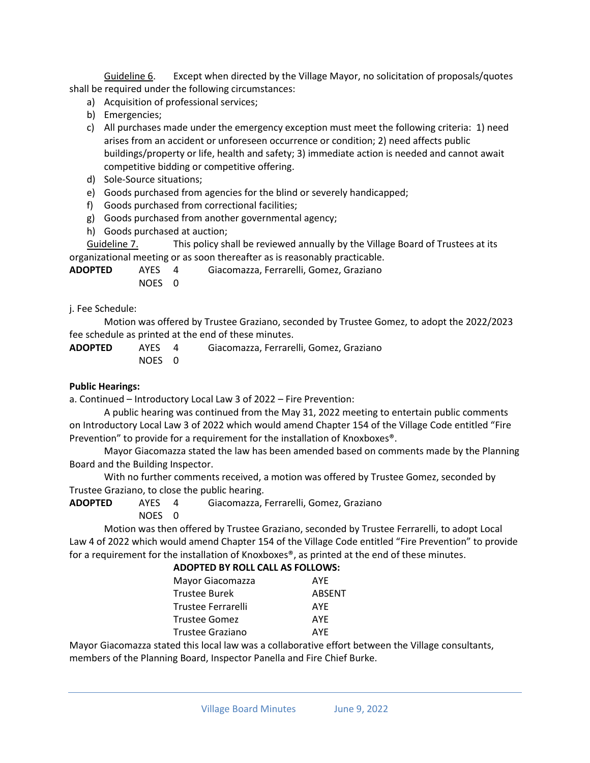Guideline 6. Except when directed by the Village Mayor, no solicitation of proposals/quotes shall be required under the following circumstances:

- a) Acquisition of professional services;
- b) Emergencies;
- c) All purchases made under the emergency exception must meet the following criteria: 1) need arises from an accident or unforeseen occurrence or condition; 2) need affects public buildings/property or life, health and safety; 3) immediate action is needed and cannot await competitive bidding or competitive offering.
- d) Sole-Source situations;
- e) Goods purchased from agencies for the blind or severely handicapped;
- f) Goods purchased from correctional facilities;
- g) Goods purchased from another governmental agency;
- h) Goods purchased at auction;

Guideline 7. This policy shall be reviewed annually by the Village Board of Trustees at its organizational meeting or as soon thereafter as is reasonably practicable.

| ADOPTED | AYES   | Giacomazza, Ferrarelli, Gomez, Graziano |
|---------|--------|-----------------------------------------|
|         | NOES 0 |                                         |

j. Fee Schedule:

Motion was offered by Trustee Graziano, seconded by Trustee Gomez, to adopt the 2022/2023 fee schedule as printed at the end of these minutes.

**ADOPTED** AYES 4 Giacomazza, Ferrarelli, Gomez, Graziano NOES 0

## **Public Hearings:**

a. Continued – Introductory Local Law 3 of 2022 – Fire Prevention:

A public hearing was continued from the May 31, 2022 meeting to entertain public comments on Introductory Local Law 3 of 2022 which would amend Chapter 154 of the Village Code entitled "Fire Prevention" to provide for a requirement for the installation of Knoxboxes®.

Mayor Giacomazza stated the law has been amended based on comments made by the Planning Board and the Building Inspector.

With no further comments received, a motion was offered by Trustee Gomez, seconded by Trustee Graziano, to close the public hearing.

**ADOPTED** AYES 4 Giacomazza, Ferrarelli, Gomez, Graziano

NOES 0

Motion was then offered by Trustee Graziano, seconded by Trustee Ferrarelli, to adopt Local Law 4 of 2022 which would amend Chapter 154 of the Village Code entitled "Fire Prevention" to provide for a requirement for the installation of Knoxboxes®, as printed at the end of these minutes.

| <b>ADOPTED BY ROLL CALL AS FOLLOWS:</b> |               |
|-----------------------------------------|---------------|
| Mayor Giacomazza                        | AYE           |
| <b>Trustee Burek</b>                    | <b>ABSENT</b> |
| Trustee Ferrarelli                      | AYE           |
| <b>Trustee Gomez</b>                    | <b>AYE</b>    |
| Trustee Graziano                        | <b>AYF</b>    |
|                                         |               |

Mayor Giacomazza stated this local law was a collaborative effort between the Village consultants, members of the Planning Board, Inspector Panella and Fire Chief Burke.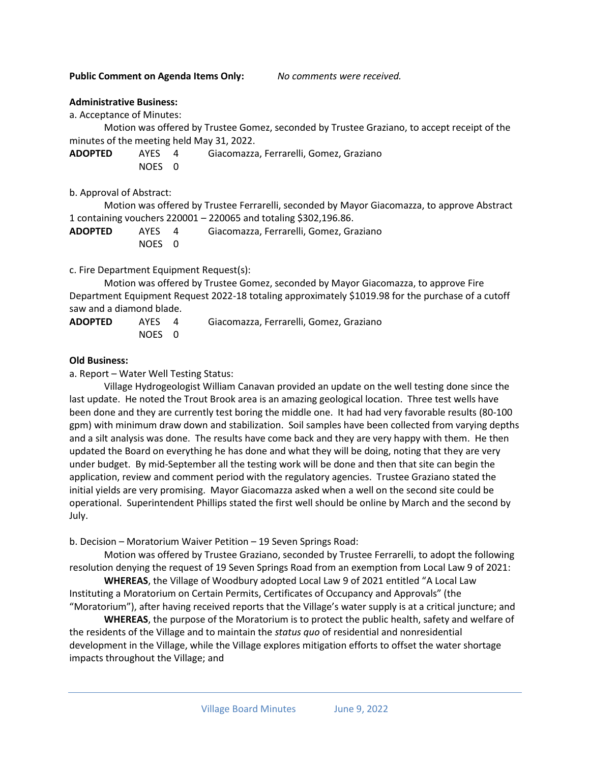**Public Comment on Agenda Items Only:** *No comments were received.*

#### **Administrative Business:**

a. Acceptance of Minutes:

Motion was offered by Trustee Gomez, seconded by Trustee Graziano, to accept receipt of the minutes of the meeting held May 31, 2022.

**ADOPTED** AYES 4 Giacomazza, Ferrarelli, Gomez, Graziano NOES 0

b. Approval of Abstract:

Motion was offered by Trustee Ferrarelli, seconded by Mayor Giacomazza, to approve Abstract 1 containing vouchers 220001 – 220065 and totaling \$302,196.86.

| <b>ADOPTED</b> | AYES 4 | Giacomazza, Ferrarelli, Gomez, Graziano |
|----------------|--------|-----------------------------------------|
|                | NOES 0 |                                         |

c. Fire Department Equipment Request(s):

Motion was offered by Trustee Gomez, seconded by Mayor Giacomazza, to approve Fire Department Equipment Request 2022-18 totaling approximately \$1019.98 for the purchase of a cutoff saw and a diamond blade.

| <b>ADOPTED</b> | AYES 4 | Giacomazza, Ferrarelli, Gomez, Graziano |
|----------------|--------|-----------------------------------------|
|                | NOES 0 |                                         |

#### **Old Business:**

a. Report – Water Well Testing Status:

Village Hydrogeologist William Canavan provided an update on the well testing done since the last update. He noted the Trout Brook area is an amazing geological location. Three test wells have been done and they are currently test boring the middle one. It had had very favorable results (80-100 gpm) with minimum draw down and stabilization. Soil samples have been collected from varying depths and a silt analysis was done. The results have come back and they are very happy with them. He then updated the Board on everything he has done and what they will be doing, noting that they are very under budget. By mid-September all the testing work will be done and then that site can begin the application, review and comment period with the regulatory agencies. Trustee Graziano stated the initial yields are very promising. Mayor Giacomazza asked when a well on the second site could be operational. Superintendent Phillips stated the first well should be online by March and the second by July.

b. Decision – Moratorium Waiver Petition – 19 Seven Springs Road:

Motion was offered by Trustee Graziano, seconded by Trustee Ferrarelli, to adopt the following resolution denying the request of 19 Seven Springs Road from an exemption from Local Law 9 of 2021:

**WHEREAS**, the Village of Woodbury adopted Local Law 9 of 2021 entitled "A Local Law Instituting a Moratorium on Certain Permits, Certificates of Occupancy and Approvals" (the "Moratorium"), after having received reports that the Village's water supply is at a critical juncture; and

**WHEREAS**, the purpose of the Moratorium is to protect the public health, safety and welfare of the residents of the Village and to maintain the *status quo* of residential and nonresidential development in the Village, while the Village explores mitigation efforts to offset the water shortage impacts throughout the Village; and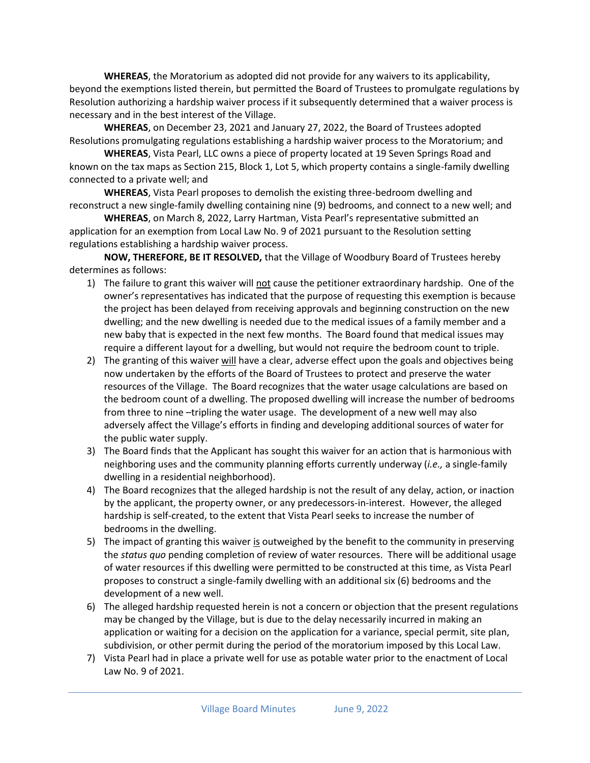**WHEREAS**, the Moratorium as adopted did not provide for any waivers to its applicability, beyond the exemptions listed therein, but permitted the Board of Trustees to promulgate regulations by Resolution authorizing a hardship waiver process if it subsequently determined that a waiver process is necessary and in the best interest of the Village.

**WHEREAS**, on December 23, 2021 and January 27, 2022, the Board of Trustees adopted Resolutions promulgating regulations establishing a hardship waiver process to the Moratorium; and

**WHEREAS**, Vista Pearl, LLC owns a piece of property located at 19 Seven Springs Road and known on the tax maps as Section 215, Block 1, Lot 5, which property contains a single-family dwelling connected to a private well; and

**WHEREAS**, Vista Pearl proposes to demolish the existing three-bedroom dwelling and reconstruct a new single-family dwelling containing nine (9) bedrooms, and connect to a new well; and

**WHEREAS**, on March 8, 2022, Larry Hartman, Vista Pearl's representative submitted an application for an exemption from Local Law No. 9 of 2021 pursuant to the Resolution setting regulations establishing a hardship waiver process.

**NOW, THEREFORE, BE IT RESOLVED,** that the Village of Woodbury Board of Trustees hereby determines as follows:

- 1) The failure to grant this waiver will not cause the petitioner extraordinary hardship. One of the owner's representatives has indicated that the purpose of requesting this exemption is because the project has been delayed from receiving approvals and beginning construction on the new dwelling; and the new dwelling is needed due to the medical issues of a family member and a new baby that is expected in the next few months. The Board found that medical issues may require a different layout for a dwelling, but would not require the bedroom count to triple.
- 2) The granting of this waiver will have a clear, adverse effect upon the goals and objectives being now undertaken by the efforts of the Board of Trustees to protect and preserve the water resources of the Village. The Board recognizes that the water usage calculations are based on the bedroom count of a dwelling. The proposed dwelling will increase the number of bedrooms from three to nine –tripling the water usage. The development of a new well may also adversely affect the Village's efforts in finding and developing additional sources of water for the public water supply.
- 3) The Board finds that the Applicant has sought this waiver for an action that is harmonious with neighboring uses and the community planning efforts currently underway (*i.e.,* a single-family dwelling in a residential neighborhood).
- 4) The Board recognizes that the alleged hardship is not the result of any delay, action, or inaction by the applicant, the property owner, or any predecessors-in-interest. However, the alleged hardship is self-created, to the extent that Vista Pearl seeks to increase the number of bedrooms in the dwelling.
- 5) The impact of granting this waiver is outweighed by the benefit to the community in preserving the *status quo* pending completion of review of water resources. There will be additional usage of water resources if this dwelling were permitted to be constructed at this time, as Vista Pearl proposes to construct a single-family dwelling with an additional six (6) bedrooms and the development of a new well.
- 6) The alleged hardship requested herein is not a concern or objection that the present regulations may be changed by the Village, but is due to the delay necessarily incurred in making an application or waiting for a decision on the application for a variance, special permit, site plan, subdivision, or other permit during the period of the moratorium imposed by this Local Law.
- 7) Vista Pearl had in place a private well for use as potable water prior to the enactment of Local Law No. 9 of 2021.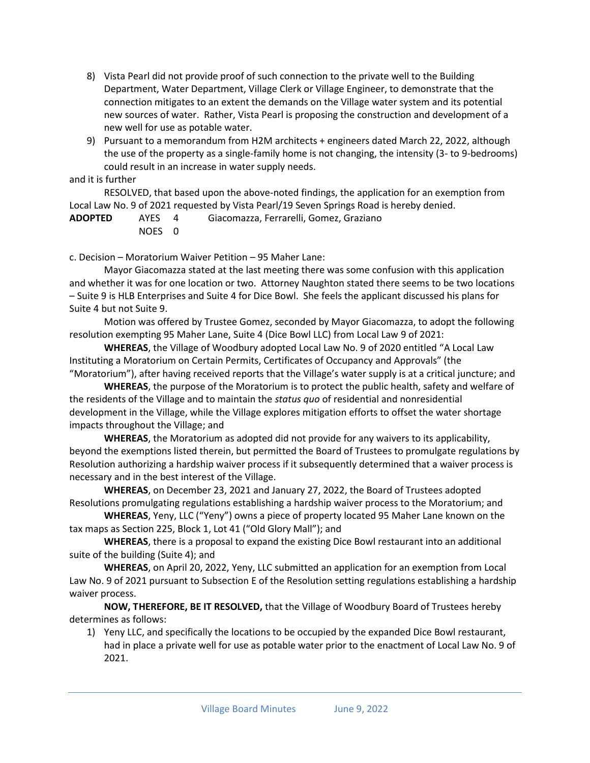- 8) Vista Pearl did not provide proof of such connection to the private well to the Building Department, Water Department, Village Clerk or Village Engineer, to demonstrate that the connection mitigates to an extent the demands on the Village water system and its potential new sources of water. Rather, Vista Pearl is proposing the construction and development of a new well for use as potable water.
- 9) Pursuant to a memorandum from H2M architects + engineers dated March 22, 2022, although the use of the property as a single-family home is not changing, the intensity (3- to 9-bedrooms) could result in an increase in water supply needs.

#### and it is further

RESOLVED, that based upon the above-noted findings, the application for an exemption from Local Law No. 9 of 2021 requested by Vista Pearl/19 Seven Springs Road is hereby denied.

**ADOPTED** AYES 4 Giacomazza, Ferrarelli, Gomez, Graziano NOES 0

c. Decision – Moratorium Waiver Petition – 95 Maher Lane:

Mayor Giacomazza stated at the last meeting there was some confusion with this application and whether it was for one location or two. Attorney Naughton stated there seems to be two locations – Suite 9 is HLB Enterprises and Suite 4 for Dice Bowl. She feels the applicant discussed his plans for Suite 4 but not Suite 9.

Motion was offered by Trustee Gomez, seconded by Mayor Giacomazza, to adopt the following resolution exempting 95 Maher Lane, Suite 4 (Dice Bowl LLC) from Local Law 9 of 2021:

**WHEREAS**, the Village of Woodbury adopted Local Law No. 9 of 2020 entitled "A Local Law Instituting a Moratorium on Certain Permits, Certificates of Occupancy and Approvals" (the "Moratorium"), after having received reports that the Village's water supply is at a critical juncture; and

**WHEREAS**, the purpose of the Moratorium is to protect the public health, safety and welfare of the residents of the Village and to maintain the *status quo* of residential and nonresidential development in the Village, while the Village explores mitigation efforts to offset the water shortage impacts throughout the Village; and

**WHEREAS**, the Moratorium as adopted did not provide for any waivers to its applicability, beyond the exemptions listed therein, but permitted the Board of Trustees to promulgate regulations by Resolution authorizing a hardship waiver process if it subsequently determined that a waiver process is necessary and in the best interest of the Village.

**WHEREAS**, on December 23, 2021 and January 27, 2022, the Board of Trustees adopted Resolutions promulgating regulations establishing a hardship waiver process to the Moratorium; and

**WHEREAS**, Yeny, LLC ("Yeny") owns a piece of property located 95 Maher Lane known on the tax maps as Section 225, Block 1, Lot 41 ("Old Glory Mall"); and

**WHEREAS**, there is a proposal to expand the existing Dice Bowl restaurant into an additional suite of the building (Suite 4); and

**WHEREAS**, on April 20, 2022, Yeny, LLC submitted an application for an exemption from Local Law No. 9 of 2021 pursuant to Subsection E of the Resolution setting regulations establishing a hardship waiver process.

**NOW, THEREFORE, BE IT RESOLVED,** that the Village of Woodbury Board of Trustees hereby determines as follows:

1) Yeny LLC, and specifically the locations to be occupied by the expanded Dice Bowl restaurant, had in place a private well for use as potable water prior to the enactment of Local Law No. 9 of 2021.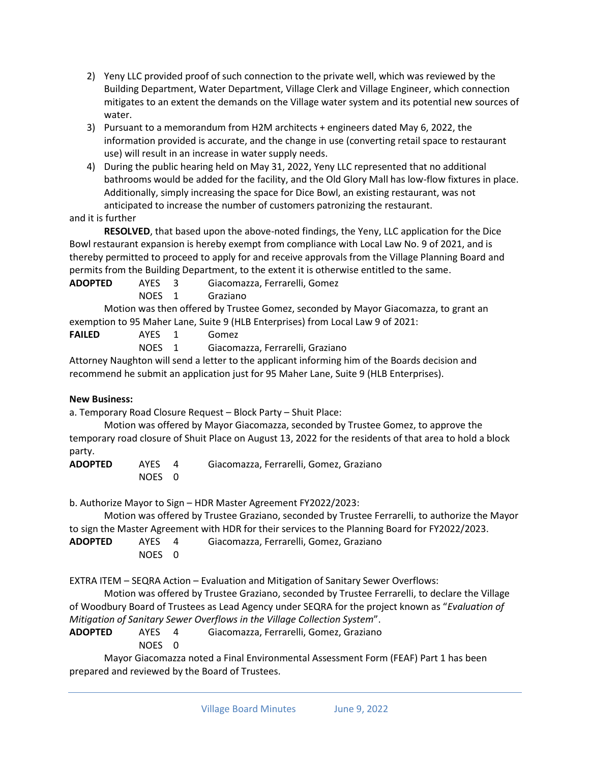- 2) Yeny LLC provided proof of such connection to the private well, which was reviewed by the Building Department, Water Department, Village Clerk and Village Engineer, which connection mitigates to an extent the demands on the Village water system and its potential new sources of water.
- 3) Pursuant to a memorandum from H2M architects + engineers dated May 6, 2022, the information provided is accurate, and the change in use (converting retail space to restaurant use) will result in an increase in water supply needs.
- 4) During the public hearing held on May 31, 2022, Yeny LLC represented that no additional bathrooms would be added for the facility, and the Old Glory Mall has low-flow fixtures in place. Additionally, simply increasing the space for Dice Bowl, an existing restaurant, was not anticipated to increase the number of customers patronizing the restaurant.

## and it is further

**RESOLVED**, that based upon the above-noted findings, the Yeny, LLC application for the Dice Bowl restaurant expansion is hereby exempt from compliance with Local Law No. 9 of 2021, and is thereby permitted to proceed to apply for and receive approvals from the Village Planning Board and permits from the Building Department, to the extent it is otherwise entitled to the same.

| <b>ADOPTED</b> | AYES 3 | Giacomazza, Ferrarelli, Gomez |
|----------------|--------|-------------------------------|
|                |        |                               |

NOES 1 Graziano

Motion was then offered by Trustee Gomez, seconded by Mayor Giacomazza, to grant an exemption to 95 Maher Lane, Suite 9 (HLB Enterprises) from Local Law 9 of 2021:

| <b>FAILED</b> | AYES         | Gomez            |  |
|---------------|--------------|------------------|--|
|               | <b>NIOEC</b> | Cincompasso Form |  |

NOES 1 Giacomazza, Ferrarelli, Graziano

Attorney Naughton will send a letter to the applicant informing him of the Boards decision and recommend he submit an application just for 95 Maher Lane, Suite 9 (HLB Enterprises).

## **New Business:**

a. Temporary Road Closure Request – Block Party – Shuit Place:

Motion was offered by Mayor Giacomazza, seconded by Trustee Gomez, to approve the temporary road closure of Shuit Place on August 13, 2022 for the residents of that area to hold a block party.

| <b>ADOPTED</b> | AYES 4 | Giacomazza, Ferrarelli, Gomez, Graziano |
|----------------|--------|-----------------------------------------|
|                | NOES 0 |                                         |

b. Authorize Mayor to Sign – HDR Master Agreement FY2022/2023:

Motion was offered by Trustee Graziano, seconded by Trustee Ferrarelli, to authorize the Mayor to sign the Master Agreement with HDR for their services to the Planning Board for FY2022/2023.

| <b>ADOPTED</b> | AYES   | Giacomazza, Ferrarelli, Gomez, Graziano |
|----------------|--------|-----------------------------------------|
|                | NOES 0 |                                         |

EXTRA ITEM – SEQRA Action – Evaluation and Mitigation of Sanitary Sewer Overflows:

Motion was offered by Trustee Graziano, seconded by Trustee Ferrarelli, to declare the Village of Woodbury Board of Trustees as Lead Agency under SEQRA for the project known as "*Evaluation of Mitigation of Sanitary Sewer Overflows in the Village Collection System*".

**ADOPTED** AYES 4 Giacomazza, Ferrarelli, Gomez, Graziano

NOES 0

Mayor Giacomazza noted a Final Environmental Assessment Form (FEAF) Part 1 has been prepared and reviewed by the Board of Trustees.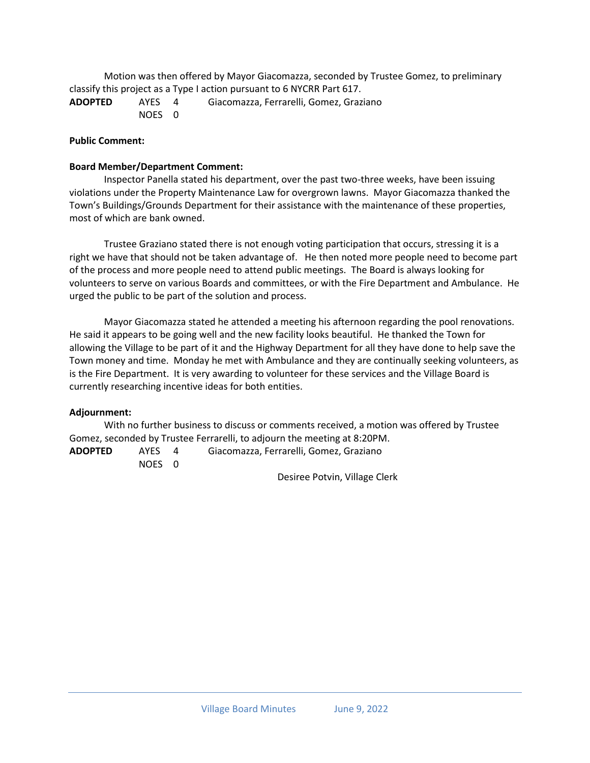Motion was then offered by Mayor Giacomazza, seconded by Trustee Gomez, to preliminary classify this project as a Type I action pursuant to 6 NYCRR Part 617.

**ADOPTED** AYES 4 Giacomazza, Ferrarelli, Gomez, Graziano NOES 0

## **Public Comment:**

## **Board Member/Department Comment:**

Inspector Panella stated his department, over the past two-three weeks, have been issuing violations under the Property Maintenance Law for overgrown lawns. Mayor Giacomazza thanked the Town's Buildings/Grounds Department for their assistance with the maintenance of these properties, most of which are bank owned.

Trustee Graziano stated there is not enough voting participation that occurs, stressing it is a right we have that should not be taken advantage of. He then noted more people need to become part of the process and more people need to attend public meetings. The Board is always looking for volunteers to serve on various Boards and committees, or with the Fire Department and Ambulance. He urged the public to be part of the solution and process.

Mayor Giacomazza stated he attended a meeting his afternoon regarding the pool renovations. He said it appears to be going well and the new facility looks beautiful. He thanked the Town for allowing the Village to be part of it and the Highway Department for all they have done to help save the Town money and time. Monday he met with Ambulance and they are continually seeking volunteers, as is the Fire Department. It is very awarding to volunteer for these services and the Village Board is currently researching incentive ideas for both entities.

#### **Adjournment:**

With no further business to discuss or comments received, a motion was offered by Trustee Gomez, seconded by Trustee Ferrarelli, to adjourn the meeting at 8:20PM.

| <b>ADOPTED</b> | AYES   | Giacomazza, Ferrarelli, Gomez, Graziano |
|----------------|--------|-----------------------------------------|
|                | NOES 0 |                                         |

Desiree Potvin, Village Clerk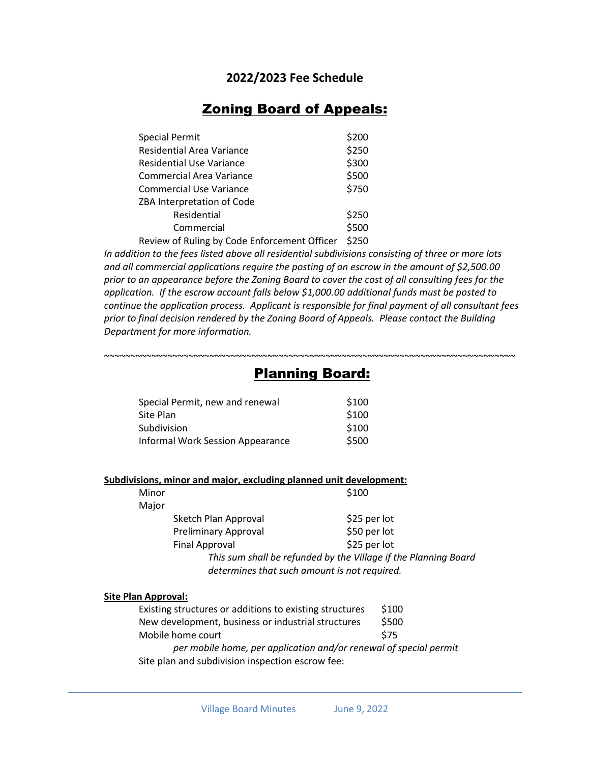## **2022/2023 Fee Schedule**

# Zoning Board of Appeals:

| <b>Special Permit</b>                        | \$200 |  |
|----------------------------------------------|-------|--|
| Residential Area Variance                    | \$250 |  |
| <b>Residential Use Variance</b>              | \$300 |  |
| <b>Commercial Area Variance</b>              |       |  |
| <b>Commercial Use Variance</b>               |       |  |
| ZBA Interpretation of Code                   |       |  |
| Residential                                  | \$250 |  |
| Commercial                                   | \$500 |  |
| Review of Ruling by Code Enforcement Officer |       |  |

*In addition to the fees listed above all residential subdivisions consisting of three or more lots and all commercial applications require the posting of an escrow in the amount of \$2,500.00 prior to an appearance before the Zoning Board to cover the cost of all consulting fees for the application. If the escrow account falls below \$1,000.00 additional funds must be posted to continue the application process. Applicant is responsible for final payment of all consultant fees prior to final decision rendered by the Zoning Board of Appeals. Please contact the Building Department for more information.*

## ~~~~~~~~~~~~~~~~~~~~~~~~~~~~~~~~~~~~~~~~~~~~~~~~~~~~~~~~~~~~~~~~~~~~~~~~~~~~~~ Planning Board:

| Special Permit, new and renewal  | \$100 |
|----------------------------------|-------|
| Site Plan                        | \$100 |
| Subdivision                      | \$100 |
| Informal Work Session Appearance | \$500 |
|                                  |       |

#### **Subdivisions, minor and major, excluding planned unit development:**

| Minor |                             | \$100                                                                                                           |  |
|-------|-----------------------------|-----------------------------------------------------------------------------------------------------------------|--|
| Major |                             |                                                                                                                 |  |
|       | Sketch Plan Approval        | \$25 per lot                                                                                                    |  |
|       | <b>Preliminary Approval</b> | \$50 per lot                                                                                                    |  |
|       | Final Approval              | \$25 per lot                                                                                                    |  |
|       |                             | This sum shall be refunded by the Village if the Planning Board<br>determines that such amount is not required. |  |

#### **Site Plan Approval:**

| Existing structures or additions to existing structures           | \$100 |
|-------------------------------------------------------------------|-------|
| New development, business or industrial structures                | \$500 |
| Mobile home court                                                 | \$75  |
| per mobile home, per application and/or renewal of special permit |       |
| Site plan and subdivision inspection escrow fee:                  |       |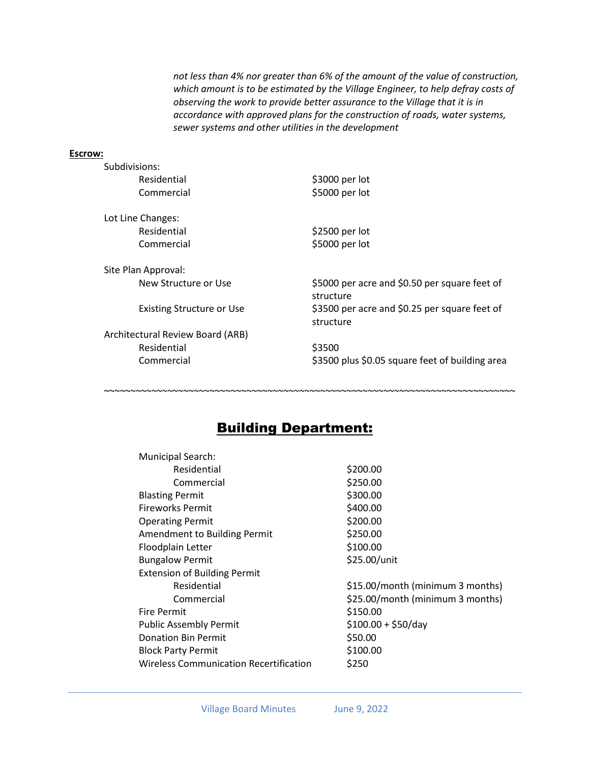*not less than 4% nor greater than 6% of the amount of the value of construction, which amount is to be estimated by the Village Engineer, to help defray costs of observing the work to provide better assurance to the Village that it is in accordance with approved plans for the construction of roads, water systems, sewer systems and other utilities in the development*

## **Escrow:**

| Subdivisions:                    |                                                            |
|----------------------------------|------------------------------------------------------------|
| Residential                      | \$3000 per lot                                             |
| Commercial                       | \$5000 per lot                                             |
| Lot Line Changes:                |                                                            |
| Residential                      | \$2500 per lot                                             |
| Commercial                       | \$5000 per lot                                             |
| Site Plan Approval:              |                                                            |
| New Structure or Use             | \$5000 per acre and \$0.50 per square feet of<br>structure |
| Existing Structure or Use        | \$3500 per acre and \$0.25 per square feet of<br>structure |
| Architectural Review Board (ARB) |                                                            |
| Residential                      | \$3500                                                     |
| Commercial                       | \$3500 plus \$0.05 square feet of building area            |
|                                  |                                                            |

# Building Department:

~~~~~~~~~~~~~~~~~~~~~~~~~~~~~~~~~~~~~~~~~~~~~~~~~~~~~~~~~~~~~~~~~~~~~~~~~~~~~~

| <b>Municipal Search:</b>                      |                                  |
|-----------------------------------------------|----------------------------------|
| Residential                                   | \$200.00                         |
| Commercial                                    | \$250.00                         |
| <b>Blasting Permit</b>                        | \$300.00                         |
| <b>Fireworks Permit</b>                       | \$400.00                         |
| <b>Operating Permit</b>                       | \$200.00                         |
| Amendment to Building Permit                  | \$250.00                         |
| Floodplain Letter                             | \$100.00                         |
| <b>Bungalow Permit</b>                        | \$25.00/unit                     |
| <b>Extension of Building Permit</b>           |                                  |
| Residential                                   | \$15.00/month (minimum 3 months) |
| Commercial                                    | \$25.00/month (minimum 3 months) |
| <b>Fire Permit</b>                            | \$150.00                         |
| <b>Public Assembly Permit</b>                 | $$100.00 + $50/day$              |
| <b>Donation Bin Permit</b>                    | \$50.00                          |
| <b>Block Party Permit</b>                     | \$100.00                         |
| <b>Wireless Communication Recertification</b> | \$250                            |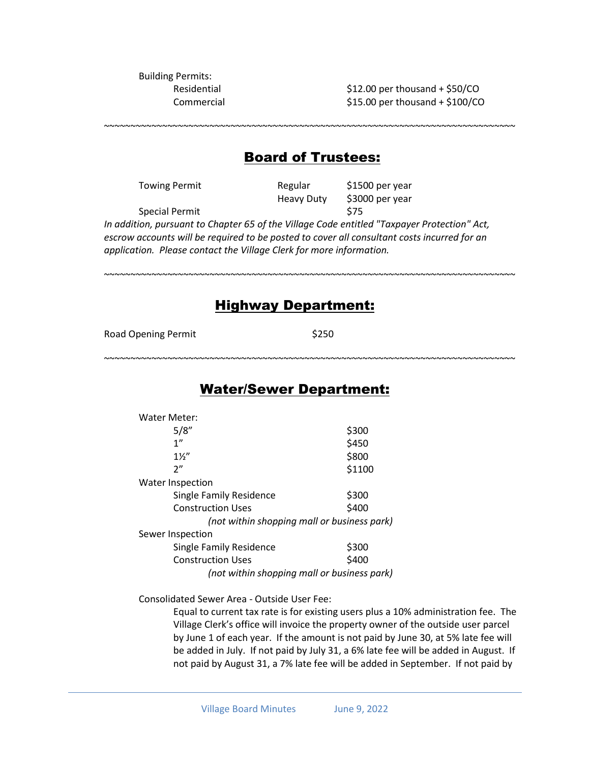Building Permits:

Residential  $$12.00$  per thousand + \$50/CO Commercial \$15.00 per thousand + \$100/CO

~~~~~~~~~~~~~~~~~~~~~~~~~~~~~~~~~~~~~~~~~~~~~~~~~~~~~~~~~~~~~~~~~~~~~~~~~~~~~~

## Board of Trustees:

Towing Permit **Regular** \$1500 per year Heavy Duty \$3000 per year Special Permit \$75 *In addition, pursuant to Chapter 65 of the Village Code entitled "Taxpayer Protection" Act, escrow accounts will be required to be posted to cover all consultant costs incurred for an application. Please contact the Village Clerk for more information.*

## Highway Department:

~~~~~~~~~~~~~~~~~~~~~~~~~~~~~~~~~~~~~~~~~~~~~~~~~~~~~~~~~~~~~~~~~~~~~~~~~~~~~~

~~~~~~~~~~~~~~~~~~~~~~~~~~~~~~~~~~~~~~~~~~~~~~~~~~~~~~~~~~~~~~~~~~~~~~~~~~~~~~

Road Opening Permit \$250

## Water/Sewer Department:

| Water Meter:                                |        |  |
|---------------------------------------------|--------|--|
| 5/8"                                        | \$300  |  |
| 1 <sup>''</sup>                             | \$450  |  |
| $1\frac{1}{2}$                              | \$800  |  |
| 2"                                          | \$1100 |  |
| <b>Water Inspection</b>                     |        |  |
| <b>Single Family Residence</b>              | \$300  |  |
| <b>Construction Uses</b>                    | \$400  |  |
| (not within shopping mall or business park) |        |  |
| Sewer Inspection                            |        |  |
| <b>Single Family Residence</b>              | \$300  |  |
| <b>Construction Uses</b>                    | \$400  |  |
| (not within shopping mall or business park) |        |  |

Consolidated Sewer Area - Outside User Fee:

Equal to current tax rate is for existing users plus a 10% administration fee. The Village Clerk's office will invoice the property owner of the outside user parcel by June 1 of each year. If the amount is not paid by June 30, at 5% late fee will be added in July. If not paid by July 31, a 6% late fee will be added in August. If not paid by August 31, a 7% late fee will be added in September. If not paid by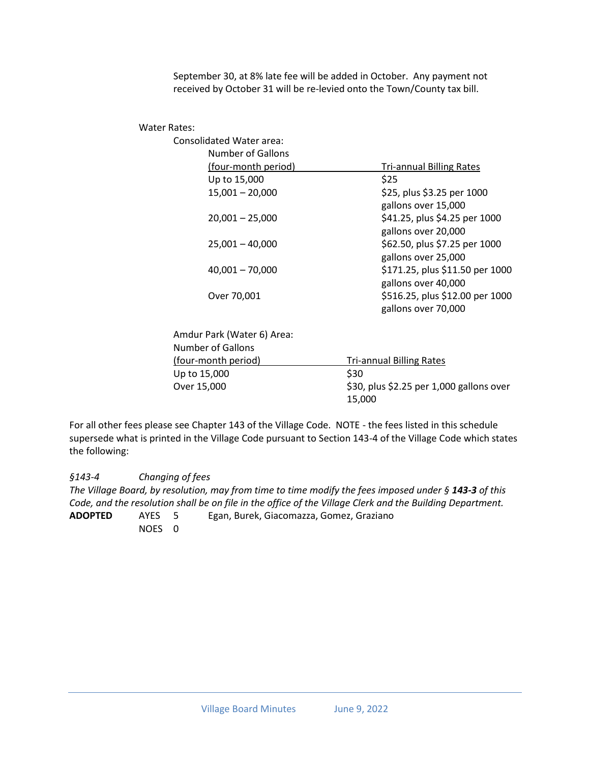September 30, at 8% late fee will be added in October. Any payment not received by October 31 will be re-levied onto the Town/County tax bill.

Water Rates:

| er Rales:                |                          |                                 |
|--------------------------|--------------------------|---------------------------------|
| Consolidated Water area: |                          |                                 |
|                          | <b>Number of Gallons</b> |                                 |
|                          | (four-month period)      | <b>Tri-annual Billing Rates</b> |
|                          | Up to 15,000             | \$25                            |
|                          | $15,001 - 20,000$        | \$25, plus \$3.25 per 1000      |
|                          |                          | gallons over 15,000             |
|                          | $20,001 - 25,000$        | \$41.25, plus \$4.25 per 1000   |
|                          |                          | gallons over 20,000             |
|                          | $25,001 - 40,000$        | \$62.50, plus \$7.25 per 1000   |
|                          |                          | gallons over 25,000             |
|                          | $40,001 - 70,000$        | \$171.25, plus \$11.50 per 1000 |
|                          |                          | gallons over 40,000             |
|                          | Over 70,001              | \$516.25, plus \$12.00 per 1000 |
|                          |                          | gallons over 70,000             |
|                          |                          |                                 |

Amdur Park (Water 6) Area: Number of Gallons (four-month period) Tri-annual Billing Rates Up to  $15,000$  \$30 Over 15,000 \$30, plus \$2.25 per 1,000 gallons over 15,000

For all other fees please see Chapter 143 of the Village Code. NOTE - the fees listed in this schedule supersede what is printed in the Village Code pursuant to Section 143-4 of the Village Code which states the following:

*§143-4 [Changing of fees](http://ecode360.com/print/WO2925?guid=12868389#12868389) The Village Board, by resolution, may from time to time modify the fees imposed under § [143-3](http://ecode360.com/print/12868348#12868348) of this Code, and the resolution shall be on file in the office of the Village Clerk and the Building Department.* **ADOPTED** AYES 5 Egan, Burek, Giacomazza, Gomez, Graziano NOES 0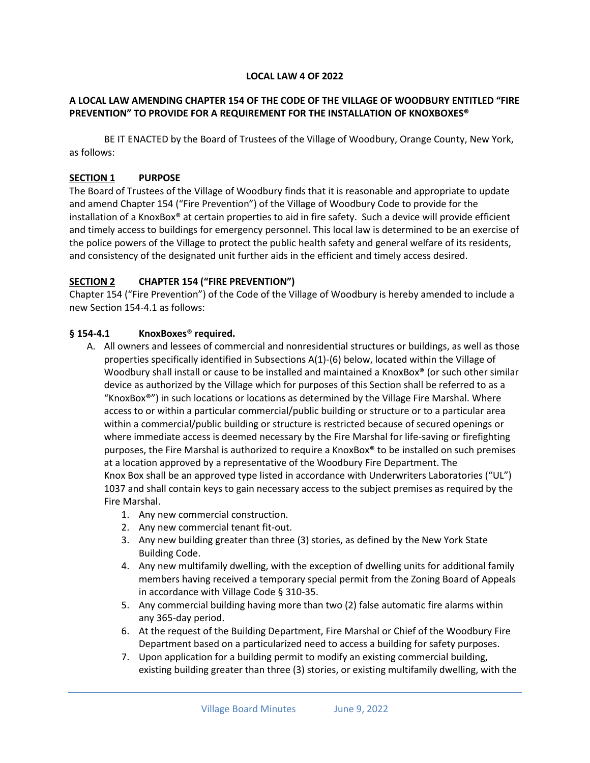## **LOCAL LAW 4 OF 2022**

## **A LOCAL LAW AMENDING CHAPTER 154 OF THE CODE OF THE VILLAGE OF WOODBURY ENTITLED "FIRE PREVENTION" TO PROVIDE FOR A REQUIREMENT FOR THE INSTALLATION OF KNOXBOXES®**

BE IT ENACTED by the Board of Trustees of the Village of Woodbury, Orange County, New York, as follows:

## **SECTION 1 PURPOSE**

The Board of Trustees of the Village of Woodbury finds that it is reasonable and appropriate to update and amend Chapter 154 ("Fire Prevention") of the Village of Woodbury Code to provide for the installation of a KnoxBox® at certain properties to aid in fire safety. Such a device will provide efficient and timely access to buildings for emergency personnel. This local law is determined to be an exercise of the police powers of the Village to protect the public health safety and general welfare of its residents, and consistency of the designated unit further aids in the efficient and timely access desired.

## **SECTION 2 CHAPTER 154 ("FIRE PREVENTION")**

Chapter 154 ("Fire Prevention") of the Code of the Village of Woodbury is hereby amended to include a new Section 154-4.1 as follows:

## **§ 154-4.1 KnoxBoxes® required.**

- A. All owners and lessees of commercial and nonresidential structures or buildings, as well as those properties specifically identified in Subsections A(1)-(6) below, located within the Village of Woodbury shall install or cause to be installed and maintained a KnoxBox® (or such other similar device as authorized by the Village which for purposes of this Section shall be referred to as a "KnoxBox®") in such locations or locations as determined by the Village Fire Marshal. Where access to or within a particular commercial/public building or structure or to a particular area within a commercial/public building or structure is restricted because of secured openings or where immediate access is deemed necessary by the Fire Marshal for life-saving or firefighting purposes, the Fire Marshal is authorized to require a KnoxBox® to be installed on such premises at a location approved by a representative of the Woodbury Fire Department. The Knox Box shall be an approved type listed in accordance with Underwriters Laboratories ("UL") 1037 and shall contain keys to gain necessary access to the subject premises as required by the Fire Marshal.
	- 1. Any new commercial construction.
	- 2. Any new commercial tenant fit-out.
	- 3. Any new building greater than three (3) stories, as defined by the New York State Building Code.
	- 4. Any new multifamily dwelling, with the exception of dwelling units for additional family members having received a temporary special permit from the Zoning Board of Appeals in accordance with Village Code § 310-35.
	- 5. Any commercial building having more than two (2) false automatic fire alarms within any 365-day period.
	- 6. At the request of the Building Department, Fire Marshal or Chief of the Woodbury Fire Department based on a particularized need to access a building for safety purposes.
	- 7. Upon application for a building permit to modify an existing commercial building, existing building greater than three (3) stories, or existing multifamily dwelling, with the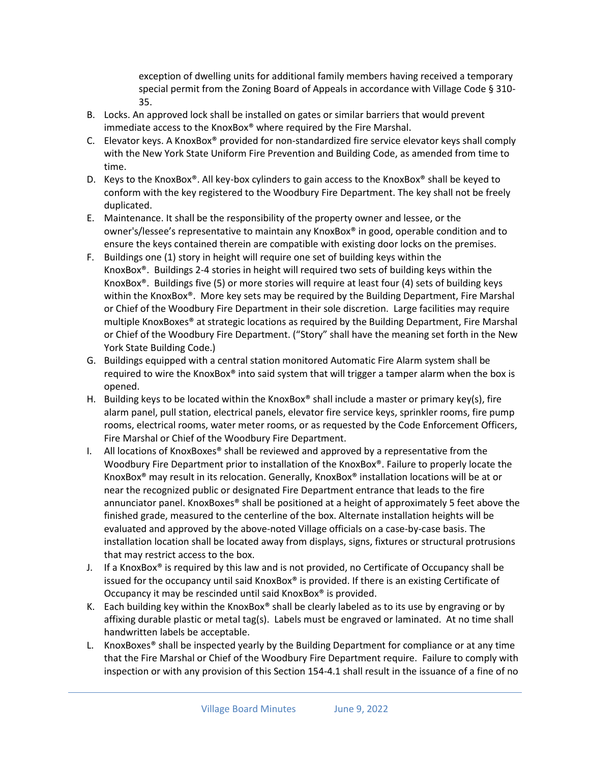exception of dwelling units for additional family members having received a temporary special permit from the Zoning Board of Appeals in accordance with Village Code § 310- 35.

- B. Locks. An approved lock shall be installed on gates or similar barriers that would prevent immediate access to the KnoxBox® where required by the Fire Marshal.
- C. Elevator keys. A KnoxBox® provided for non-standardized fire service elevator keys shall comply with the New York State Uniform Fire Prevention and Building Code, as amended from time to time.
- D. Keys to the KnoxBox®. All key-box cylinders to gain access to the KnoxBox® shall be keyed to conform with the key registered to the Woodbury Fire Department. The key shall not be freely duplicated.
- E. Maintenance. It shall be the responsibility of the property owner and lessee, or the owner's/lessee's representative to maintain any KnoxBox® in good, operable condition and to ensure the keys contained therein are compatible with existing door locks on the premises.
- F. Buildings one (1) story in height will require one set of building keys within the KnoxBox®. Buildings 2-4 stories in height will required two sets of building keys within the KnoxBox®. Buildings five (5) or more stories will require at least four (4) sets of building keys within the KnoxBox®. More key sets may be required by the Building Department, Fire Marshal or Chief of the Woodbury Fire Department in their sole discretion. Large facilities may require multiple KnoxBoxes® at strategic locations as required by the Building Department, Fire Marshal or Chief of the Woodbury Fire Department. ("Story" shall have the meaning set forth in the New York State Building Code.)
- G. Buildings equipped with a central station monitored Automatic Fire Alarm system shall be required to wire the KnoxBox® into said system that will trigger a tamper alarm when the box is opened.
- H. Building keys to be located within the KnoxBox® shall include a master or primary key(s), fire alarm panel, pull station, electrical panels, elevator fire service keys, sprinkler rooms, fire pump rooms, electrical rooms, water meter rooms, or as requested by the Code Enforcement Officers, Fire Marshal or Chief of the Woodbury Fire Department.
- I. All locations of KnoxBoxes® shall be reviewed and approved by a representative from the Woodbury Fire Department prior to installation of the KnoxBox®. Failure to properly locate the KnoxBox® may result in its relocation. Generally, KnoxBox® installation locations will be at or near the recognized public or designated Fire Department entrance that leads to the fire annunciator panel. KnoxBoxes® shall be positioned at a height of approximately 5 feet above the finished grade, measured to the centerline of the box. Alternate installation heights will be evaluated and approved by the above-noted Village officials on a case-by-case basis. The installation location shall be located away from displays, signs, fixtures or structural protrusions that may restrict access to the box.
- J. If a KnoxBox<sup>®</sup> is required by this law and is not provided, no Certificate of Occupancy shall be issued for the occupancy until said KnoxBox® is provided. If there is an existing Certificate of Occupancy it may be rescinded until said KnoxBox® is provided.
- K. Each building key within the KnoxBox<sup>®</sup> shall be clearly labeled as to its use by engraving or by affixing durable plastic or metal tag(s). Labels must be engraved or laminated. At no time shall handwritten labels be acceptable.
- L. KnoxBoxes® shall be inspected yearly by the Building Department for compliance or at any time that the Fire Marshal or Chief of the Woodbury Fire Department require. Failure to comply with inspection or with any provision of this Section 154-4.1 shall result in the issuance of a fine of no